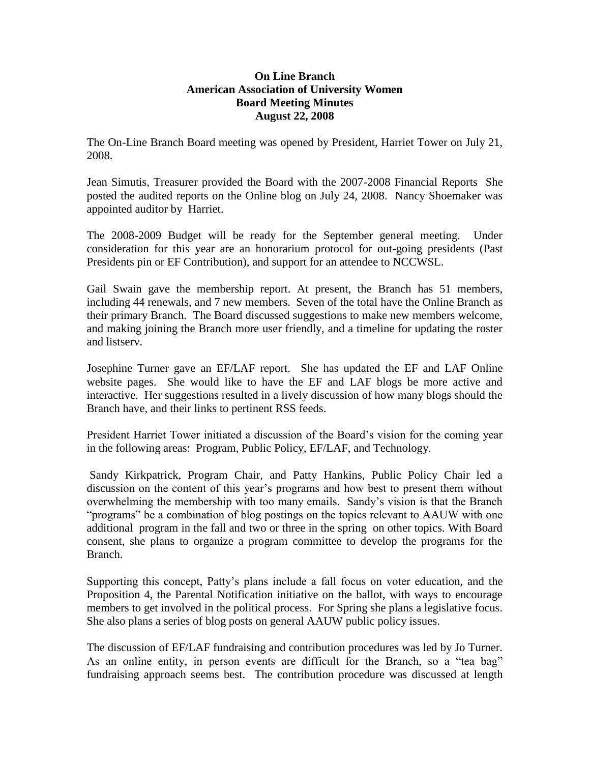## **On Line Branch American Association of University Women Board Meeting Minutes August 22, 2008**

The On-Line Branch Board meeting was opened by President, Harriet Tower on July 21, 2008.

Jean Simutis, Treasurer provided the Board with the 2007-2008 Financial Reports She posted the audited reports on the Online blog on July 24, 2008. Nancy Shoemaker was appointed auditor by Harriet.

The 2008-2009 Budget will be ready for the September general meeting. Under consideration for this year are an honorarium protocol for out-going presidents (Past Presidents pin or EF Contribution), and support for an attendee to NCCWSL.

Gail Swain gave the membership report. At present, the Branch has 51 members, including 44 renewals, and 7 new members. Seven of the total have the Online Branch as their primary Branch. The Board discussed suggestions to make new members welcome, and making joining the Branch more user friendly, and a timeline for updating the roster and listserv.

Josephine Turner gave an EF/LAF report. She has updated the EF and LAF Online website pages. She would like to have the EF and LAF blogs be more active and interactive. Her suggestions resulted in a lively discussion of how many blogs should the Branch have, and their links to pertinent RSS feeds.

President Harriet Tower initiated a discussion of the Board's vision for the coming year in the following areas: Program, Public Policy, EF/LAF, and Technology.

Sandy Kirkpatrick, Program Chair, and Patty Hankins, Public Policy Chair led a discussion on the content of this year's programs and how best to present them without overwhelming the membership with too many emails. Sandy's vision is that the Branch "programs" be a combination of blog postings on the topics relevant to AAUW with one additional program in the fall and two or three in the spring on other topics. With Board consent, she plans to organize a program committee to develop the programs for the Branch.

Supporting this concept, Patty's plans include a fall focus on voter education, and the Proposition 4, the Parental Notification initiative on the ballot, with ways to encourage members to get involved in the political process. For Spring she plans a legislative focus. She also plans a series of blog posts on general AAUW public policy issues.

The discussion of EF/LAF fundraising and contribution procedures was led by Jo Turner. As an online entity, in person events are difficult for the Branch, so a "tea bag" fundraising approach seems best. The contribution procedure was discussed at length